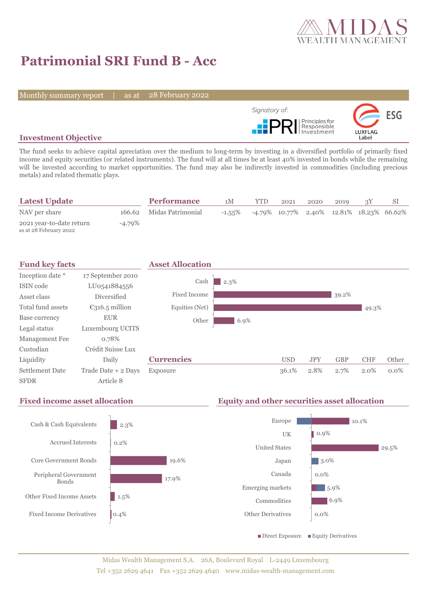

29.5%

# **Patrimonial SRI Fund B - Acc**

Monthly summary report | as at

28 February 2022



### **Investment Objective**

The fund seeks to achieve capital apreciation over the medium to long-term by investing in a diversified portfolio of primarily fixed income and equity securities (or related instruments). The fund will at all times be at least 40% invested in bonds while the remaining will be invested according to market opportunities. The fund may also be indirectly invested in commodities (including precious metals) and related thematic plays.

| <b>Latest Update</b>                               |        | <b>Performance</b>       | 1M        | <b>YTD</b> | 2021                                        | 2020 | 2019 |  |
|----------------------------------------------------|--------|--------------------------|-----------|------------|---------------------------------------------|------|------|--|
| NAV per share                                      |        | 166.62 Midas Patrimonial | $-1.55\%$ |            | $-4.79\%$ 10.77% 2.40% 12.81% 18.23% 66.62% |      |      |  |
| 2021 year-to-date return<br>as at 28 February 2022 | -4.79% |                          |           |            |                                             |      |      |  |



### **Fixed income asset allocation Equity and other securities asset allocation** 2.3% 0.2% 19.6% 17.9% 1.5% 0.4% Cash & Cash Equivalents Accrued Interests Core Government Bonds Peripheral Government Bonds Other Fixed Income Assets Fixed Income Derivatives 10.1% 0.9% 3.0% 0.0% 5.9% 6.9% 0.0% Europe UK United States Japan Canada Emerging markets Commodities Other Derivatives  $\blacksquare$  Direct Exposure  $\blacksquare$  Equity Derivatives

## Midas Wealth Management S.A. 26A, Boulevard Royal L-2449 Luxembourg Tel +352 2629 4641 Fax +352 2629 4640 www.midas-wealth-management.com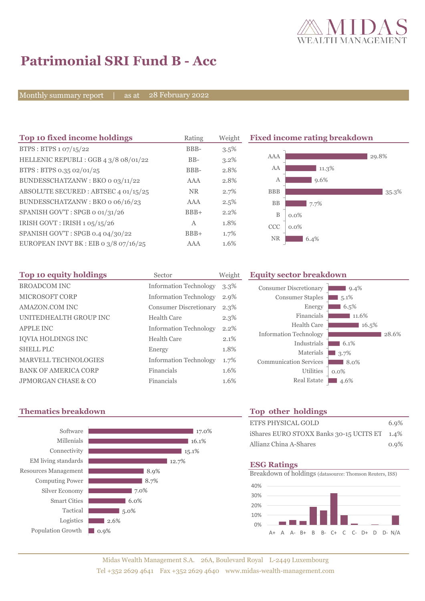

# **Patrimonial SRI Fund B - Acc**

Monthly summary report | as at 28 February 2022

| Top 10 fixed income holdings          | Rating       | Weight  | <b>Fixed income rating breakdown</b> |
|---------------------------------------|--------------|---------|--------------------------------------|
| BTPS: BTPS 1 07/15/22                 | BBB-         | 3.5%    |                                      |
| HELLENIC REPUBLI: GGB 4 3/8 08/01/22  | $BB-$        | $3.2\%$ | AAA<br>29.8%                         |
| BTPS: BTPS 0.35 02/01/25              | BBB-         | 2.8%    | AA<br>$11.3\%$                       |
| BUNDESSCHATZANW: BKO o 03/11/22       | AAA          | 2.8%    | 9.6%<br>А                            |
| ABSOLUTE SECURED: ABTSEC 4 01/15/25   | <b>NR</b>    | 2.7%    | <b>BBB</b><br>35.3%                  |
| BUNDESSCHATZANW: BKO o 06/16/23       | AAA          | 2.5%    | <b>BB</b><br>7.7%                    |
| SPANISH GOV'T: SPGB o 01/31/26        | $BBB+$       | 2.2%    | B<br>$0.0\%$                         |
| IRISH GOVT : IRISH $1.05/15/26$       | $\mathbf{A}$ | 1.8%    | <b>CCC</b><br>$0.0\%$                |
| SPANISH GOV'T: SPGB 0.4 04/30/22      | $BBB+$       | 1.7%    |                                      |
| EUROPEAN INVT BK : EIB 0 3/8 07/16/25 | AAA          | 1.6%    | <b>NR</b><br>6.4%                    |

| Top 10 equity holdings      | Sector                        | Weight  |
|-----------------------------|-------------------------------|---------|
| <b>BROADCOM INC</b>         | <b>Information Technology</b> | $3.3\%$ |
| <b>MICROSOFT CORP</b>       | <b>Information Technology</b> | 2.9%    |
| AMAZON.COM INC              | <b>Consumer Discretionary</b> | $2.3\%$ |
| UNITEDHEALTH GROUP INC      | Health Care                   | 2.3%    |
| <b>APPLE INC</b>            | <b>Information Technology</b> | $2.2\%$ |
| <b>IOVIA HOLDINGS INC</b>   | Health Care                   | 2.1%    |
| <b>SHELL PLC</b>            | Energy                        | 1.8%    |
| <b>MARVELL TECHNOLOGIES</b> | <b>Information Technology</b> | 1.7%    |
| <b>BANK OF AMERICA CORP</b> | Financials                    | 1.6%    |
| JPMORGAN CHASE & CO         | Financials                    | 1.6%    |

### **Equity sector breakdown**

| Consumer Discretionary        | $9.4\%$ |
|-------------------------------|---------|
| <b>Consumer Staples</b>       | 5.1%    |
| Energy                        | 6.5%    |
| Financials                    | 11.6%   |
| Health Care                   | 16.5%   |
| <b>Information Technology</b> | 28.6%   |
| Industrials                   | 6.1%    |
| Materials                     | 3.7%    |
| <b>Communication Services</b> | 8.0%    |
| Utilities                     | $0.0\%$ |
| <b>Real Estate</b>            | 4.6%    |

### **Thematics breakdown Top other holdings**



| ETFS PHYSICAL GOLD                           | 6.9%    |
|----------------------------------------------|---------|
| iShares EURO STOXX Banks 30-15 UCITS ET 1.4% |         |
| Allianz China A-Shares                       | $0.9\%$ |

### **ESG Ratings**

Breakdown of holdings (datasource: Thomson Reuters, ISS)